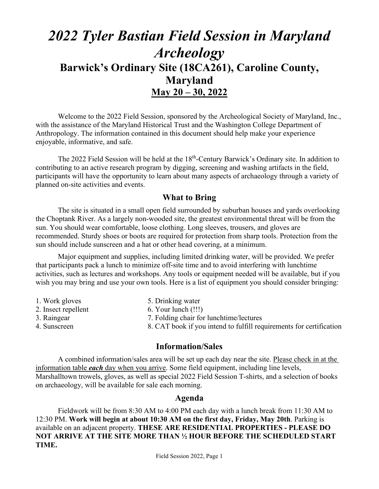# *2022 Tyler Bastian Field Session in Maryland Archeology*  **Barwick's Ordinary Site (18CA261), Caroline County, Maryland May 20 – 30, 2022**

Welcome to the 2022 Field Session, sponsored by the Archeological Society of Maryland, Inc., with the assistance of the Maryland Historical Trust and the Washington College Department of Anthropology. The information contained in this document should help make your experience enjoyable, informative, and safe.

The 2022 Field Session will be held at the 18<sup>th</sup>-Century Barwick's Ordinary site. In addition to contributing to an active research program by digging, screening and washing artifacts in the field, participants will have the opportunity to learn about many aspects of archaeology through a variety of planned on-site activities and events.

### **What to Bring**

The site is situated in a small open field surrounded by suburban houses and yards overlooking the Choptank River. As a largely non-wooded site, the greatest environmental threat will be from the sun. You should wear comfortable, loose clothing. Long sleeves, trousers, and gloves are recommended. Sturdy shoes or boots are required for protection from sharp tools. Protection from the sun should include sunscreen and a hat or other head covering, at a minimum.

Major equipment and supplies, including limited drinking water, will be provided. We prefer that participants pack a lunch to minimize off-site time and to avoid interfering with lunchtime activities, such as lectures and workshops. Any tools or equipment needed will be available, but if you wish you may bring and use your own tools. Here is a list of equipment you should consider bringing:

| 1. Work gloves      | 5. Drinking water                                                   |
|---------------------|---------------------------------------------------------------------|
| 2. Insect repellent | $6.$ Your lunch $(!!!)$                                             |
| 3. Raingear         | 7. Folding chair for lunchtime/lectures                             |
| 4. Sunscreen        | 8. CAT book if you intend to fulfill requirements for certification |

#### **Information/Sales**

A combined information/sales area will be set up each day near the site. Please check in at the information table *each* day when you arrive. Some field equipment, including line levels, Marshalltown trowels, gloves, as well as special 2022 Field Session T-shirts, and a selection of books on archaeology, will be available for sale each morning.

#### **Agenda**

 Fieldwork will be from 8:30 AM to 4:00 PM each day with a lunch break from 11:30 AM to 12:30 PM. **Work will begin at about 10:30 AM on the first day, Friday, May 20th**. Parking is available on an adjacent property. **THESE ARE RESIDENTIAL PROPERTIES - PLEASE DO NOT ARRIVE AT THE SITE MORE THAN ½ HOUR BEFORE THE SCHEDULED START TIME.**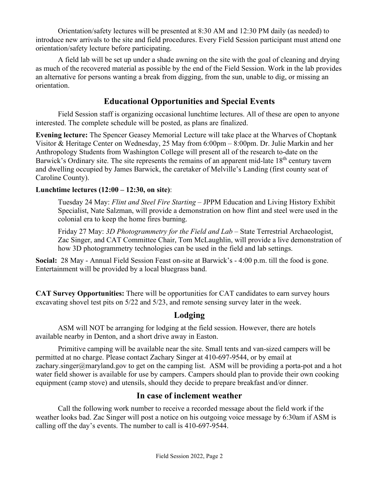Orientation/safety lectures will be presented at 8:30 AM and 12:30 PM daily (as needed) to introduce new arrivals to the site and field procedures. Every Field Session participant must attend one orientation/safety lecture before participating.

A field lab will be set up under a shade awning on the site with the goal of cleaning and drying as much of the recovered material as possible by the end of the Field Session. Work in the lab provides an alternative for persons wanting a break from digging, from the sun, unable to dig, or missing an orientation.

# **Educational Opportunities and Special Events**

Field Session staff is organizing occasional lunchtime lectures. All of these are open to anyone interested. The complete schedule will be posted, as plans are finalized.

**Evening lecture:** The Spencer Geasey Memorial Lecture will take place at the Wharves of Choptank Visitor & Heritage Center on Wednesday, 25 May from 6:00pm – 8:00pm. Dr. Julie Markin and her Anthropology Students from Washington College will present all of the research to-date on the Barwick's Ordinary site. The site represents the remains of an apparent mid-late 18<sup>th</sup> century tavern and dwelling occupied by James Barwick, the caretaker of Melville's Landing (first county seat of Caroline County).

#### **Lunchtime lectures (12:00 – 12:30, on site)**:

Tuesday 24 May: *Flint and Steel Fire Starting* – JPPM Education and Living History Exhibit Specialist, Nate Salzman, will provide a demonstration on how flint and steel were used in the colonial era to keep the home fires burning.

Friday 27 May: *3D Photogrammetry for the Field and Lab* – State Terrestrial Archaeologist, Zac Singer, and CAT Committee Chair, Tom McLaughlin, will provide a live demonstration of how 3D photogrammetry technologies can be used in the field and lab settings.

**Social:** 28 May - Annual Field Session Feast on-site at Barwick's - 4:00 p.m. till the food is gone. Entertainment will be provided by a local bluegrass band.

**CAT Survey Opportunities:** There will be opportunities for CAT candidates to earn survey hours excavating shovel test pits on 5/22 and 5/23, and remote sensing survey later in the week.

# **Lodging**

ASM will NOT be arranging for lodging at the field session. However, there are hotels available nearby in Denton, and a short drive away in Easton.

Primitive camping will be available near the site. Small tents and van-sized campers will be permitted at no charge. Please contact Zachary Singer at 410-697-9544, or by email at zachary.singer@maryland.gov to get on the camping list. ASM will be providing a porta-pot and a hot water field shower is available for use by campers. Campers should plan to provide their own cooking equipment (camp stove) and utensils, should they decide to prepare breakfast and/or dinner.

## **In case of inclement weather**

Call the following work number to receive a recorded message about the field work if the weather looks bad. Zac Singer will post a notice on his outgoing voice message by 6:30am if ASM is calling off the day's events. The number to call is 410-697-9544.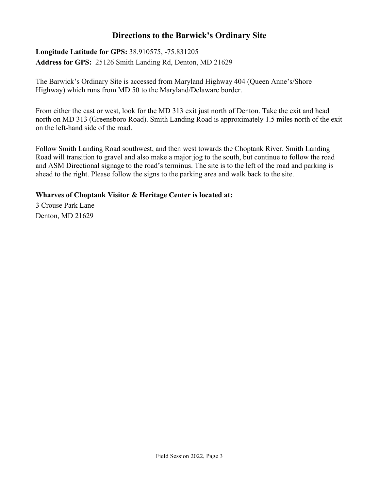## **Directions to the Barwick's Ordinary Site**

**Longitude Latitude for GPS:** 38.910575, -75.831205 **Address for GPS:** 25126 Smith Landing Rd, Denton, MD 21629

The Barwick's Ordinary Site is accessed from Maryland Highway 404 (Queen Anne's/Shore Highway) which runs from MD 50 to the Maryland/Delaware border.

From either the east or west, look for the MD 313 exit just north of Denton. Take the exit and head north on MD 313 (Greensboro Road). Smith Landing Road is approximately 1.5 miles north of the exit on the left-hand side of the road.

Follow Smith Landing Road southwest, and then west towards the Choptank River. Smith Landing Road will transition to gravel and also make a major jog to the south, but continue to follow the road and ASM Directional signage to the road's terminus. The site is to the left of the road and parking is ahead to the right. Please follow the signs to the parking area and walk back to the site.

#### **Wharves of Choptank Visitor & Heritage Center is located at:**

3 Crouse Park Lane Denton, MD 21629